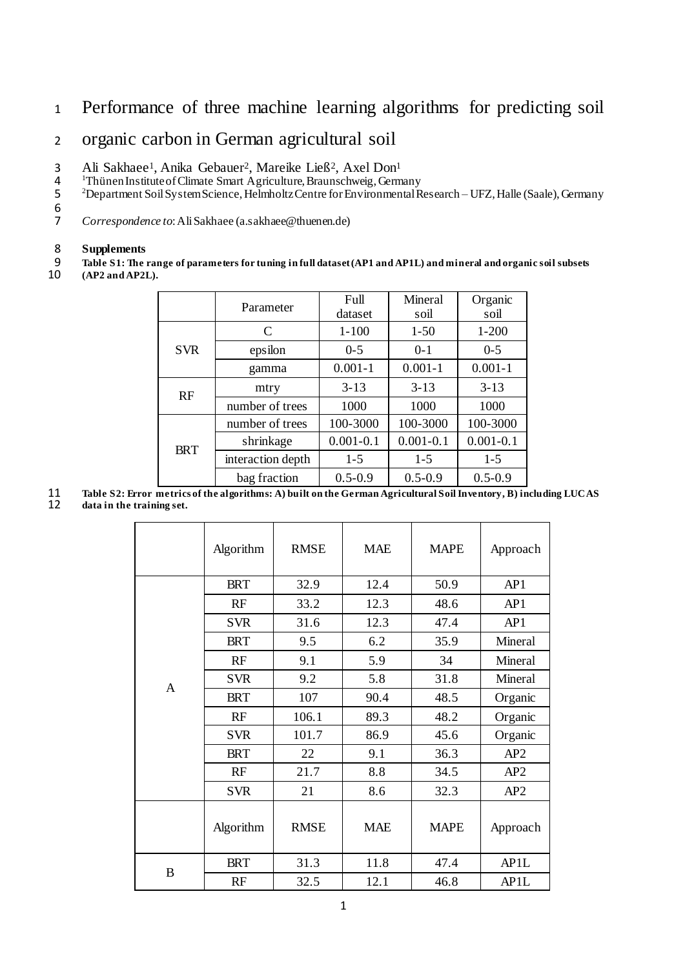## <sup>1</sup> Performance of three machine learning algorithms for predicting soil

## <sup>2</sup> organic carbon in German agricultural soil

- 3 Ali Sakhaee<sup>1</sup>, Anika Gebauer<sup>2</sup>, Mareike Ließ<sup>2</sup>, Axel Don<sup>1</sup>
- 4 <sup>1</sup>Thünen Institute of Climate Smart Agriculture, Braunschweig, Germany
- <sup>1</sup>Thünen Institute of Climate Smart Agriculture, Braunschweig, Germany<br>5 <sup>2</sup>Department Soil System Science, Helmholtz Centre for Environmental Research UFZ, Halle (Saale), Germany
- 6<br>7
	- 7 *Correspondence to*: Ali Sakhaee (a.sakhaee@thuenen.de)

## 8 **Supplements**<br>9 Table S1: The i<br>10 (AP2 and AP21)

- 9 **Table S1: The range of parameters for tuning in full dataset (AP1 and AP1L) and mineral and organic soil subsets**
- 10 **(AP2 and AP2L).**

|                              | Parameter       | Full<br>dataset | <b>Mineral</b><br>soil                                      | Organic<br>soil |
|------------------------------|-----------------|-----------------|-------------------------------------------------------------|-----------------|
|                              | C               | $1 - 100$       | $1 - 50$                                                    | $1 - 200$       |
| <b>SVR</b>                   | epsilon         | $0 - 5$         | $0-1$                                                       | $0 - 5$         |
|                              | gamma           | $0.001 - 1$     | $0.001 - 1$                                                 | $0.001 - 1$     |
| RF                           | mtry            | $3 - 13$        | $3 - 13$                                                    | $3 - 13$        |
|                              | number of trees | 1000            | 1000<br>100-3000<br>$0.001 - 0.1$<br>$1 - 5$<br>$0.5 - 0.9$ | 1000            |
|                              | number of trees | 100-3000        |                                                             | 100-3000        |
| <b>BRT</b>                   | shrinkage       | $0.001 - 0.1$   |                                                             | $0.001 - 0.1$   |
| interaction depth<br>$1 - 5$ |                 |                 | $1 - 5$                                                     |                 |
|                              | bag fraction    | $0.5 - 0.9$     |                                                             | $0.5 - 0.9$     |

11 **Table S2: Error metrics of the algorithms: A) built on the German Agricultural Soil Inventory, B) including LUCAS**  12 **data in the training set.**

|              | Algorithm  | <b>RMSE</b> | <b>MAE</b> | <b>MAPE</b> | Approach          |
|--------------|------------|-------------|------------|-------------|-------------------|
|              | <b>BRT</b> | 32.9        | 12.4       | 50.9        | AP1               |
|              | RF         | 33.2        | 12.3       | 48.6        | AP1               |
|              | <b>SVR</b> | 31.6        | 12.3       | 47.4        | AP1               |
|              | <b>BRT</b> | 9.5         | 6.2        | 35.9        | Mineral           |
|              | RF         | 9.1         | 5.9        | 34          | Mineral           |
| $\mathbf{A}$ | <b>SVR</b> | 9.2         | 5.8        | 31.8        | Mineral           |
|              | <b>BRT</b> | 107         | 90.4       | 48.5        | Organic           |
|              | RF         | 106.1       | 89.3       | 48.2        | Organic           |
|              | <b>SVR</b> | 101.7       | 86.9       | 45.6        | Organic           |
|              | <b>BRT</b> | 22          | 9.1        | 36.3        | AP2               |
|              | RF         | 21.7        | 8.8        | 34.5        | AP2               |
|              | <b>SVR</b> | 21          | 8.6        | 32.3        | AP2               |
|              | Algorithm  | <b>RMSE</b> | <b>MAE</b> | <b>MAPE</b> | Approach          |
|              | <b>BRT</b> | 31.3        | 11.8       | 47.4        | AP1L              |
| $\, {\bf B}$ | RF         | 32.5        | 12.1       | 46.8        | AP <sub>1</sub> L |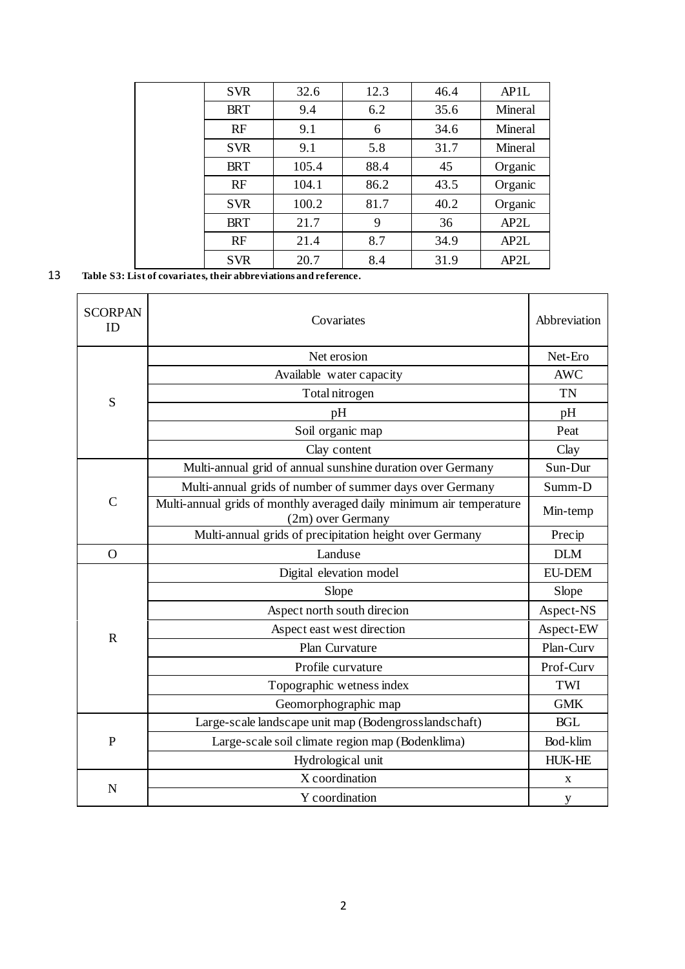| <b>SVR</b> | 32.6  | 12.3 | 46.4 | AP1L    |
|------------|-------|------|------|---------|
| <b>BRT</b> | 9.4   | 6.2  | 35.6 | Mineral |
| RF         | 9.1   | 6    | 34.6 | Mineral |
| <b>SVR</b> | 9.1   | 5.8  | 31.7 | Mineral |
| <b>BRT</b> | 105.4 | 88.4 | 45   | Organic |
| RF         | 104.1 | 86.2 | 43.5 | Organic |
| <b>SVR</b> | 100.2 | 81.7 | 40.2 | Organic |
| <b>BRT</b> | 21.7  | 9    | 36   | AP2L    |
| RF         | 21.4  | 8.7  | 34.9 | AP2L    |
| <b>SVR</b> | 20.7  | 8.4  | 31.9 | AP2L    |

## 13 **Table S3: List of covariates, their abbreviations and reference.**

| <b>SCORPAN</b><br>ID | Covariates                                                                                | Abbreviation  |
|----------------------|-------------------------------------------------------------------------------------------|---------------|
| S                    | Net erosion                                                                               | Net-Ero       |
|                      | Available water capacity                                                                  | <b>AWC</b>    |
|                      | Total nitrogen                                                                            | <b>TN</b>     |
|                      | pH                                                                                        | pH            |
|                      | Soil organic map                                                                          | Peat          |
|                      | Clay content                                                                              | Clay          |
|                      | Multi-annual grid of annual sunshine duration over Germany                                | Sun-Dur       |
|                      | Multi-annual grids of number of summer days over Germany                                  | Summ-D        |
| $\mathcal{C}$        | Multi-annual grids of monthly averaged daily minimum air temperature<br>(2m) over Germany | Min-temp      |
|                      | Multi-annual grids of precipitation height over Germany                                   | Precip        |
| $\overline{O}$       | Landuse                                                                                   | <b>DLM</b>    |
|                      | Digital elevation model                                                                   | <b>EU-DEM</b> |
|                      | Slope                                                                                     | Slope         |
|                      | Aspect north south direcion                                                               | Aspect-NS     |
| $\mathbf R$          | Aspect east west direction                                                                | Aspect-EW     |
|                      | Plan Curvature                                                                            | Plan-Curv     |
|                      | Profile curvature                                                                         | Prof-Curv     |
|                      | Topographic wetness index                                                                 | TWI           |
|                      | Geomorphographic map                                                                      | <b>GMK</b>    |
| $\mathbf{P}$         | Large-scale landscape unit map (Bodengrosslandschaft)                                     | <b>BGL</b>    |
|                      | Large-scale soil climate region map (Bodenklima)                                          | Bod-klim      |
|                      | Hydrological unit                                                                         | <b>HUK-HE</b> |
|                      | X coordination                                                                            | $\mathbf{x}$  |
| $\mathbf N$          | Y coordination                                                                            | y             |